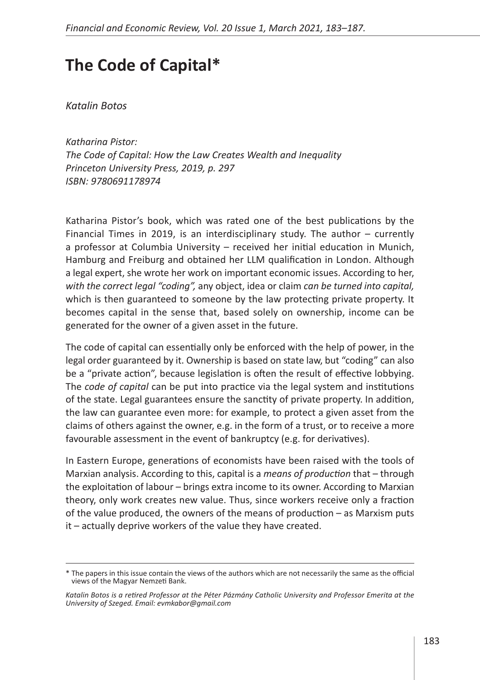## **The Code of Capital\***

*Katalin Botos*

*Katharina Pistor: The Code of Capital: How the Law Creates Wealth and Inequality Princeton University Press, 2019, p. 297 ISBN: 9780691178974*

Katharina Pistor's book, which was rated one of the best publications by the Financial Times in 2019, is an interdisciplinary study. The author – currently a professor at Columbia University – received her initial education in Munich, Hamburg and Freiburg and obtained her LLM qualification in London. Although a legal expert, she wrote her work on important economic issues. According to her, *with the correct legal "coding",* any object, idea or claim *can be turned into capital,* which is then guaranteed to someone by the law protecting private property. It becomes capital in the sense that, based solely on ownership, income can be generated for the owner of a given asset in the future.

The code of capital can essentially only be enforced with the help of power, in the legal order guaranteed by it. Ownership is based on state law, but "coding" can also be a "private action", because legislation is often the result of effective lobbying. The *code of capital* can be put into practice via the legal system and institutions of the state. Legal guarantees ensure the sanctity of private property. In addition, the law can guarantee even more: for example, to protect a given asset from the claims of others against the owner, e.g. in the form of a trust, or to receive a more favourable assessment in the event of bankruptcy (e.g. for derivatives).

In Eastern Europe, generations of economists have been raised with the tools of Marxian analysis. According to this, capital is a *means of production* that – through the exploitation of labour – brings extra income to its owner. According to Marxian theory, only work creates new value. Thus, since workers receive only a fraction of the value produced, the owners of the means of production – as Marxism puts it – actually deprive workers of the value they have created.

<sup>\*</sup> The papers in this issue contain the views of the authors which are not necessarily the same as the official views of the Magyar Nemzeti Bank.

*Katalin Botos is a retired Professor at the Péter Pázmány Catholic University and Professor Emerita at the University of Szeged. Email: evmkabor@gmail.com*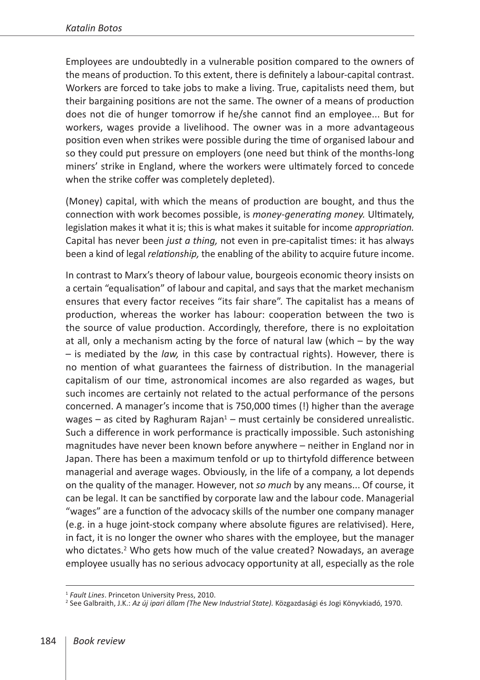Employees are undoubtedly in a vulnerable position compared to the owners of the means of production. To this extent, there is definitely a labour-capital contrast. Workers are forced to take jobs to make a living. True, capitalists need them, but their bargaining positions are not the same. The owner of a means of production does not die of hunger tomorrow if he/she cannot find an employee... But for workers, wages provide a livelihood. The owner was in a more advantageous position even when strikes were possible during the time of organised labour and so they could put pressure on employers (one need but think of the months-long miners' strike in England, where the workers were ultimately forced to concede when the strike coffer was completely depleted).

(Money) capital, with which the means of production are bought, and thus the connection with work becomes possible, is *money-generating money.* Ultimately, legislation makes it what it is; this is what makes it suitable for income *appropriation.* Capital has never been *just a thing,* not even in pre-capitalist times: it has always been a kind of legal *relationship,* the enabling of the ability to acquire future income.

In contrast to Marx's theory of labour value, bourgeois economic theory insists on a certain "equalisation" of labour and capital, and says that the market mechanism ensures that every factor receives "its fair share". The capitalist has a means of production, whereas the worker has labour: cooperation between the two is the source of value production. Accordingly, therefore, there is no exploitation at all, only a mechanism acting by the force of natural law (which – by the way – is mediated by the *law,* in this case by contractual rights). However, there is no mention of what guarantees the fairness of distribution. In the managerial capitalism of our time, astronomical incomes are also regarded as wages, but such incomes are certainly not related to the actual performance of the persons concerned. A manager's income that is 750,000 times (!) higher than the average wages  $-$  as cited by Raghuram Rajan<sup>1</sup>  $-$  must certainly be considered unrealistic. Such a difference in work performance is practically impossible. Such astonishing magnitudes have never been known before anywhere – neither in England nor in Japan. There has been a maximum tenfold or up to thirtyfold difference between managerial and average wages. Obviously, in the life of a company, a lot depends on the quality of the manager. However, not *so much* by any means... Of course, it can be legal. It can be sanctified by corporate law and the labour code. Managerial "wages" are a function of the advocacy skills of the number one company manager (e.g. in a huge joint-stock company where absolute figures are relativised). Here, in fact, it is no longer the owner who shares with the employee, but the manager who dictates.<sup>2</sup> Who gets how much of the value created? Nowadays, an average employee usually has no serious advocacy opportunity at all, especially as the role

<sup>&</sup>lt;sup>1</sup> *Fault Lines.* Princeton University Press, 2010.<br><sup>2</sup> See Galbraith, J.K.: *Az új ipari állam (The New Industrial State). Közgazdasági és Jogi Könyvkiadó, 1970.*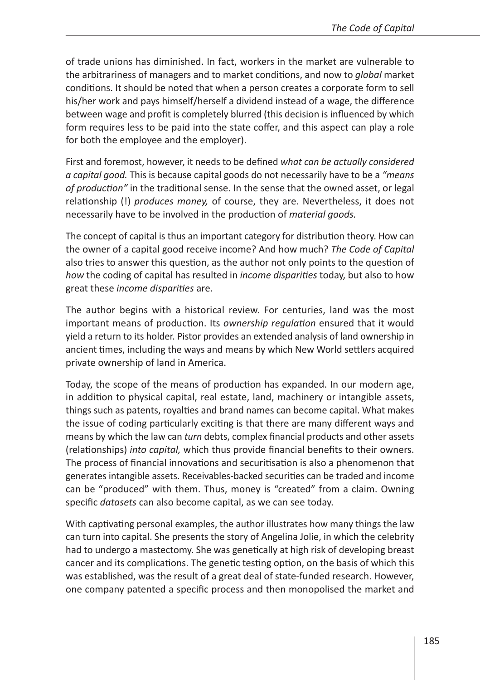of trade unions has diminished. In fact, workers in the market are vulnerable to the arbitrariness of managers and to market conditions, and now to *global* market conditions. It should be noted that when a person creates a corporate form to sell his/her work and pays himself/herself a dividend instead of a wage, the difference between wage and profit is completely blurred (this decision is influenced by which form requires less to be paid into the state coffer, and this aspect can play a role for both the employee and the employer).

First and foremost, however, it needs to be defined *what can be actually considered a capital good.* This is because capital goods do not necessarily have to be a *"means of production"* in the traditional sense. In the sense that the owned asset, or legal relationship (!) *produces money,* of course, they are. Nevertheless, it does not necessarily have to be involved in the production of *material goods.*

The concept of capital is thus an important category for distribution theory. How can the owner of a capital good receive income? And how much? *The Code of Capital* also tries to answer this question, as the author not only points to the question of *how* the coding of capital has resulted in *income disparities* today, but also to how great these *income disparities* are.

The author begins with a historical review. For centuries, land was the most important means of production. Its *ownership regulation* ensured that it would yield a return to its holder. Pistor provides an extended analysis of land ownership in ancient times, including the ways and means by which New World settlers acquired private ownership of land in America.

Today, the scope of the means of production has expanded. In our modern age, in addition to physical capital, real estate, land, machinery or intangible assets, things such as patents, royalties and brand names can become capital. What makes the issue of coding particularly exciting is that there are many different ways and means by which the law can *turn* debts, complex financial products and other assets (relationships) *into capital,* which thus provide financial benefits to their owners. The process of financial innovations and securitisation is also a phenomenon that generates intangible assets. Receivables-backed securities can be traded and income can be "produced" with them. Thus, money is "created" from a claim. Owning specific *datasets* can also become capital, as we can see today.

With captivating personal examples, the author illustrates how many things the law can turn into capital. She presents the story of Angelina Jolie, in which the celebrity had to undergo a mastectomy. She was genetically at high risk of developing breast cancer and its complications. The genetic testing option, on the basis of which this was established, was the result of a great deal of state-funded research. However, one company patented a specific process and then monopolised the market and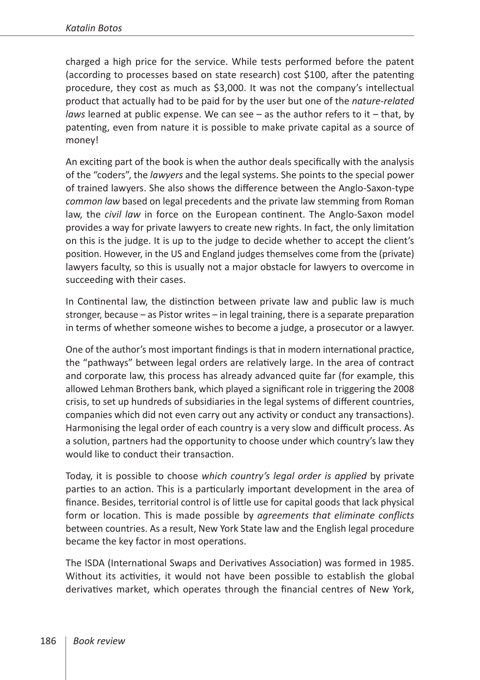charged a high price for the service. While tests performed before the patent (according to processes based on state research) cost \$100, after the patenting procedure, they cost as much as \$3,000. It was not the company's intellectual product that actually had to be paid for by the user but one of the *nature-related laws* learned at public expense. We can see – as the author refers to it – that, by patenting, even from nature it is possible to make private capital as a source of money!

An exciting part of the book is when the author deals specifically with the analysis of the "coders", the *lawyers* and the legal systems. She points to the special power of trained lawyers. She also shows the difference between the Anglo-Saxon-type *common law* based on legal precedents and the private law stemming from Roman law, the *civil law* in force on the European continent. The Anglo-Saxon model provides a way for private lawyers to create new rights. In fact, the only limitation on this is the judge. It is up to the judge to decide whether to accept the client's position. However, in the US and England judges themselves come from the (private) lawyers faculty, so this is usually not a major obstacle for lawyers to overcome in succeeding with their cases.

In Continental law, the distinction between private law and public law is much stronger, because – as Pistor writes – in legal training, there is a separate preparation in terms of whether someone wishes to become a judge, a prosecutor or a lawyer.

One of the author's most important findings is that in modern international practice, the "pathways" between legal orders are relatively large. In the area of contract and corporate law, this process has already advanced quite far (for example, this allowed Lehman Brothers bank, which played a significant role in triggering the 2008 crisis, to set up hundreds of subsidiaries in the legal systems of different countries, companies which did not even carry out any activity or conduct any transactions). Harmonising the legal order of each country is a very slow and difficult process. As a solution, partners had the opportunity to choose under which country's law they would like to conduct their transaction.

Today, it is possible to choose *which country's legal order is applied* by private parties to an action. This is a particularly important development in the area of finance. Besides, territorial control is of little use for capital goods that lack physical form or location. This is made possible by *agreements that eliminate conflicts* between countries. As a result, New York State law and the English legal procedure became the key factor in most operations.

The ISDA (International Swaps and Derivatives Association) was formed in 1985. Without its activities, it would not have been possible to establish the global derivatives market, which operates through the financial centres of New York,